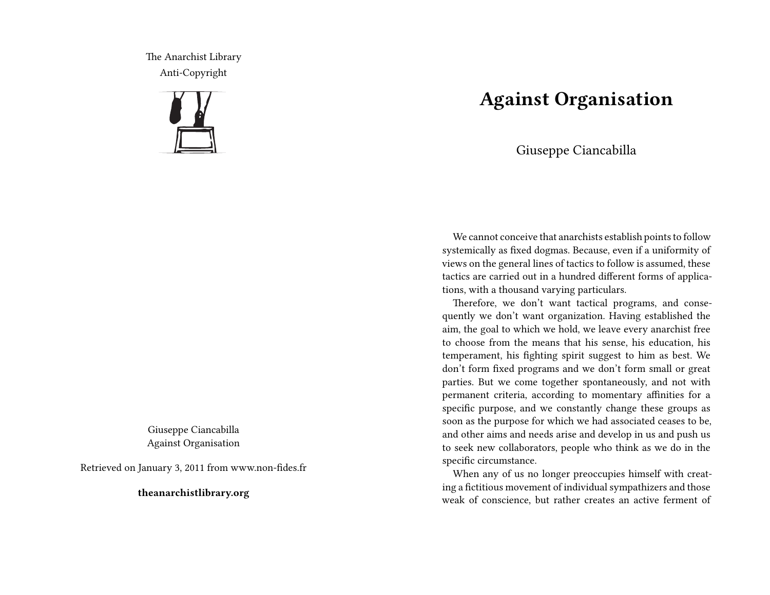The Anarchist Library Anti-Copyright



Giuseppe Ciancabilla Against Organisation

Retrieved on January 3, 2011 from www.non-fides.fr

**theanarchistlibrary.org**

## **Against Organisation**

Giuseppe Ciancabilla

We cannot conceive that anarchists establish points to follow systemically as fixed dogmas. Because, even if a uniformity of views on the general lines of tactics to follow is assumed, these tactics are carried out in a hundred different forms of applications, with a thousand varying particulars.

Therefore, we don't want tactical programs, and consequently we don't want organization. Having established the aim, the goal to which we hold, we leave every anarchist free to choose from the means that his sense, his education, his temperament, his fighting spirit suggest to him as best. We don't form fixed programs and we don't form small or great parties. But we come together spontaneously, and not with permanent criteria, according to momentary affinities for a specific purpose, and we constantly change these groups as soon as the purpose for which we had associated ceases to be, and other aims and needs arise and develop in us and push us to seek new collaborators, people who think as we do in the specific circumstance.

When any of us no longer preoccupies himself with creating a fictitious movement of individual sympathizers and those weak of conscience, but rather creates an active ferment of